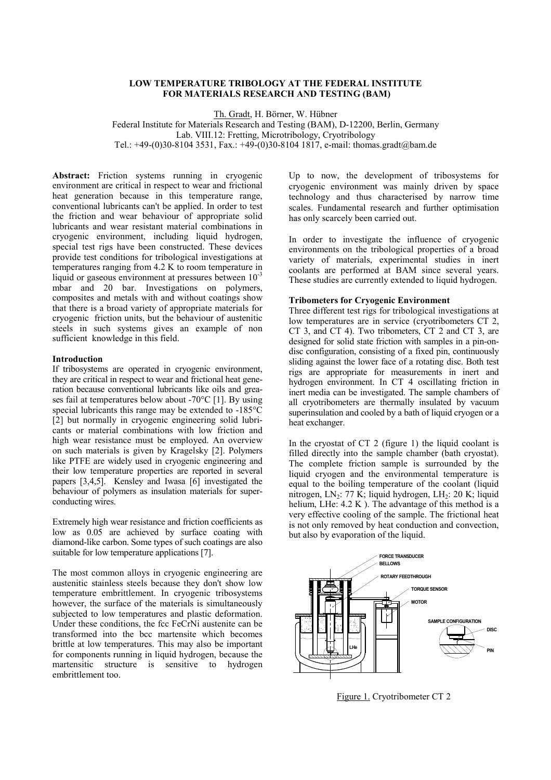# **LOW TEMPERATURE TRIBOLOGY AT THE FEDERAL INSTITUTE FOR MATERIALS RESEARCH AND TESTING (BAM)**

Th. Gradt, H. Börner, W. Hübner

Federal Institute for Materials Research and Testing (BAM), D-12200, Berlin, Germany Lab. VIII.12: Fretting, Microtribology, Cryotribology Tel.: +49-(0)30-8104 3531, Fax.: +49-(0)30-8104 1817, e-mail: thomas.gradt@bam.de

**Abstract:** Friction systems running in cryogenic environment are critical in respect to wear and frictional heat generation because in this temperature range, conventional lubricants can't be applied. In order to test the friction and wear behaviour of appropriate solid lubricants and wear resistant material combinations in cryogenic environment, including liquid hydrogen, special test rigs have been constructed. These devices provide test conditions for tribological investigations at temperatures ranging from 4.2 K to room temperature in liquid or gaseous environment at pressures between  $10^{-3}$ mbar and 20 bar. Investigations on polymers, composites and metals with and without coatings show that there is a broad variety of appropriate materials for cryogenic friction units, but the behaviour of austenitic steels in such systems gives an example of non sufficient knowledge in this field.

### **Introduction**

If tribosystems are operated in cryogenic environment, they are critical in respect to wear and frictional heat generation because conventional lubricants like oils and greases fail at temperatures below about -70°C [1]. By using special lubricants this range may be extended to -185°C [2] but normally in cryogenic engineering solid lubricants or material combinations with low friction and high wear resistance must be employed. An overview on such materials is given by Kragelsky [2]. Polymers like PTFE are widely used in cryogenic engineering and their low temperature properties are reported in several papers [3,4,5]. Kensley and Iwasa [6] investigated the behaviour of polymers as insulation materials for superconducting wires.

Extremely high wear resistance and friction coefficients as low as 0.05 are achieved by surface coating with diamond-like carbon. Some types of such coatings are also suitable for low temperature applications [7].

The most common alloys in cryogenic engineering are austenitic stainless steels because they don't show low temperature embrittlement. In cryogenic tribosystems however, the surface of the materials is simultaneously subjected to low temperatures and plastic deformation. Under these conditions, the fcc FeCrNi austenite can be transformed into the bcc martensite which becomes brittle at low temperatures. This may also be important for components running in liquid hydrogen, because the martensitic structure is sensitive to hydrogen embrittlement too.

Up to now, the development of tribosystems for cryogenic environment was mainly driven by space technology and thus characterised by narrow time scales. Fundamental research and further optimisation has only scarcely been carried out.

In order to investigate the influence of cryogenic environments on the tribological properties of a broad variety of materials, experimental studies in inert coolants are performed at BAM since several years. These studies are currently extended to liquid hydrogen.

#### **Tribometers for Cryogenic Environment**

Three different test rigs for tribological investigations at low temperatures are in service (cryotribometers CT 2, CT 3, and CT 4). Two tribometers, CT 2 and CT 3, are designed for solid state friction with samples in a pin-ondisc configuration, consisting of a fixed pin, continuously sliding against the lower face of a rotating disc. Both test rigs are appropriate for measurements in inert and hydrogen environment. In CT 4 oscillating friction in inert media can be investigated. The sample chambers of all cryotribometers are thermally insulated by vacuum superinsulation and cooled by a bath of liquid cryogen or a heat exchanger.

In the cryostat of CT 2 (figure 1) the liquid coolant is filled directly into the sample chamber (bath cryostat). The complete friction sample is surrounded by the liquid cryogen and the environmental temperature is equal to the boiling temperature of the coolant (liquid nitrogen, LN<sub>2</sub>: 77 K; liquid hydrogen, LH<sub>2</sub>: 20 K; liquid helium, LHe:  $4.2 K$ ). The advantage of this method is a very effective cooling of the sample. The frictional heat is not only removed by heat conduction and convection, but also by evaporation of the liquid.



Figure 1. Cryotribometer CT 2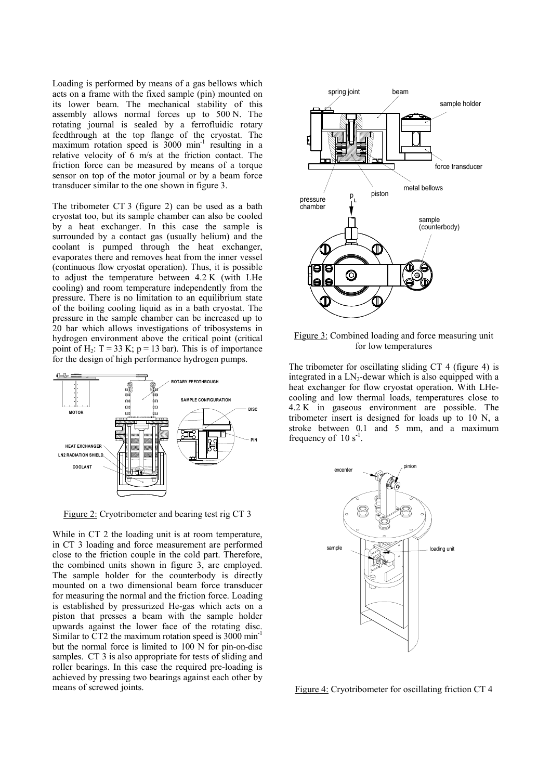Loading is performed by means of a gas bellows which acts on a frame with the fixed sample (pin) mounted on its lower beam. The mechanical stability of this assembly allows normal forces up to 500 N. The rotating journal is sealed by a ferrofluidic rotary feedthrough at the top flange of the cryostat. The maximum rotation speed is  $3000 \text{ min}^{-1}$  resulting in a relative velocity of 6 m/s at the friction contact. The friction force can be measured by means of a torque sensor on top of the motor journal or by a beam force transducer similar to the one shown in figure 3.

The tribometer CT 3 (figure 2) can be used as a bath cryostat too, but its sample chamber can also be cooled by a heat exchanger. In this case the sample is surrounded by a contact gas (usually helium) and the coolant is pumped through the heat exchanger, evaporates there and removes heat from the inner vessel (continuous flow cryostat operation). Thus, it is possible to adjust the temperature between 4.2 K (with LHe cooling) and room temperature independently from the pressure. There is no limitation to an equilibrium state of the boiling cooling liquid as in a bath cryostat. The pressure in the sample chamber can be increased up to 20 bar which allows investigations of tribosystems in hydrogen environment above the critical point (critical point of H<sub>2</sub>:  $T = 33$  K;  $p = 13$  bar). This is of importance for the design of high performance hydrogen pumps.



Figure 2: Cryotribometer and bearing test rig CT 3

While in CT 2 the loading unit is at room temperature, in CT 3 loading and force measurement are performed close to the friction couple in the cold part. Therefore, the combined units shown in figure 3, are employed. The sample holder for the counterbody is directly mounted on a two dimensional beam force transducer for measuring the normal and the friction force. Loading is established by pressurized He-gas which acts on a piston that presses a beam with the sample holder upwards against the lower face of the rotating disc. Similar to CT2 the maximum rotation speed is 3000 min<sup>-1</sup> but the normal force is limited to 100 N for pin-on-disc samples. CT 3 is also appropriate for tests of sliding and roller bearings. In this case the required pre-loading is achieved by pressing two bearings against each other by means of screwed joints.



Figure 3: Combined loading and force measuring unit for low temperatures

The tribometer for oscillating sliding CT 4 (figure 4) is integrated in a  $LN_2$ -dewar which is also equipped with a heat exchanger for flow cryostat operation. With LHecooling and low thermal loads, temperatures close to 4.2 K in gaseous environment are possible. The tribometer insert is designed for loads up to 10 N, a stroke between 0.1 and 5 mm, and a maximum frequency of  $10 s<sup>-1</sup>$ .



Figure 4: Cryotribometer for oscillating friction CT 4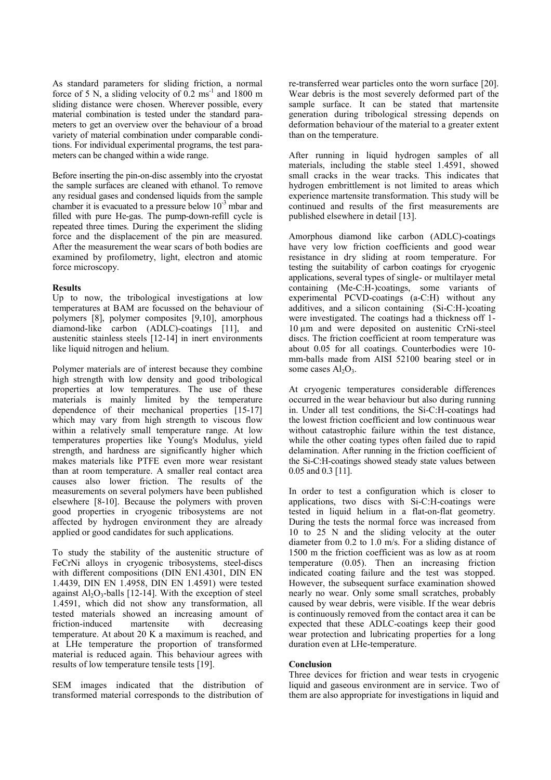As standard parameters for sliding friction, a normal force of 5 N, a sliding velocity of  $\overline{0.2}$  ms<sup>-1</sup> and 1800 m sliding distance were chosen. Wherever possible, every material combination is tested under the standard parameters to get an overview over the behaviour of a broad variety of material combination under comparable conditions. For individual experimental programs, the test parameters can be changed within a wide range.

Before inserting the pin-on-disc assembly into the cryostat the sample surfaces are cleaned with ethanol. To remove any residual gases and condensed liquids from the sample chamber it is evacuated to a pressure below  $10^{-3}$  mbar and filled with pure He-gas. The pump-down-refill cycle is repeated three times. During the experiment the sliding force and the displacement of the pin are measured. After the measurement the wear scars of both bodies are examined by profilometry, light, electron and atomic force microscopy.

# **Results**

Up to now, the tribological investigations at low temperatures at BAM are focussed on the behaviour of polymers [8], polymer composites [9,10], amorphous diamond-like carbon (ADLC)-coatings [11], and austenitic stainless steels [12-14] in inert environments like liquid nitrogen and helium.

Polymer materials are of interest because they combine high strength with low density and good tribological properties at low temperatures. The use of these materials is mainly limited by the temperature dependence of their mechanical properties [15-17] which may vary from high strength to viscous flow within a relatively small temperature range. At low temperatures properties like Young's Modulus, yield strength, and hardness are significantly higher which makes materials like PTFE even more wear resistant than at room temperature. A smaller real contact area causes also lower friction. The results of the measurements on several polymers have been published elsewhere [8-10]. Because the polymers with proven good properties in cryogenic tribosystems are not affected by hydrogen environment they are already applied or good candidates for such applications.

To study the stability of the austenitic structure of FeCrNi alloys in cryogenic tribosystems, steel-discs with different compositions (DIN EN1.4301, DIN EN 1.4439, DIN EN 1.4958, DIN EN 1.4591) were tested against  $Al_2O_3$ -balls [12-14]. With the exception of steel 1.4591, which did not show any transformation, all tested materials showed an increasing amount of friction-induced martensite with decreasing temperature. At about 20 K a maximum is reached, and at LHe temperature the proportion of transformed material is reduced again. This behaviour agrees with results of low temperature tensile tests [19].

SEM images indicated that the distribution of transformed material corresponds to the distribution of re-transferred wear particles onto the worn surface [20]. Wear debris is the most severely deformed part of the sample surface. It can be stated that martensite generation during tribological stressing depends on deformation behaviour of the material to a greater extent than on the temperature.

After running in liquid hydrogen samples of all materials, including the stable steel 1.4591, showed small cracks in the wear tracks. This indicates that hydrogen embrittlement is not limited to areas which experience martensite transformation. This study will be continued and results of the first measurements are published elsewhere in detail [13].

Amorphous diamond like carbon (ADLC)-coatings have very low friction coefficients and good wear resistance in dry sliding at room temperature. For testing the suitability of carbon coatings for cryogenic applications, several types of single- or multilayer metal containing (Me-C:H-)coatings, some variants of experimental PCVD-coatings (a-C:H) without any additives, and a silicon containing (Si-C:H-)coating were investigated. The coatings had a thickness off 1- 10 µm and were deposited on austenitic CrNi-steel discs. The friction coefficient at room temperature was about 0.05 for all coatings. Counterbodies were 10 mm-balls made from AISI 52100 bearing steel or in some cases  $Al_2O_3$ .

At cryogenic temperatures considerable differences occurred in the wear behaviour but also during running in. Under all test conditions, the Si-C:H-coatings had the lowest friction coefficient and low continuous wear without catastrophic failure within the test distance, while the other coating types often failed due to rapid delamination. After running in the friction coefficient of the Si-C:H-coatings showed steady state values between 0.05 and 0.3 [11].

In order to test a configuration which is closer to applications, two discs with Si-C:H-coatings were tested in liquid helium in a flat-on-flat geometry. During the tests the normal force was increased from 10 to 25 N and the sliding velocity at the outer diameter from 0.2 to 1.0 m/s. For a sliding distance of 1500 m the friction coefficient was as low as at room temperature (0.05). Then an increasing friction indicated coating failure and the test was stopped. However, the subsequent surface examination showed nearly no wear. Only some small scratches, probably caused by wear debris, were visible. If the wear debris is continuously removed from the contact area it can be expected that these ADLC-coatings keep their good wear protection and lubricating properties for a long duration even at LHe-temperature.

# **Conclusion**

Three devices for friction and wear tests in cryogenic liquid and gaseous environment are in service. Two of them are also appropriate for investigations in liquid and